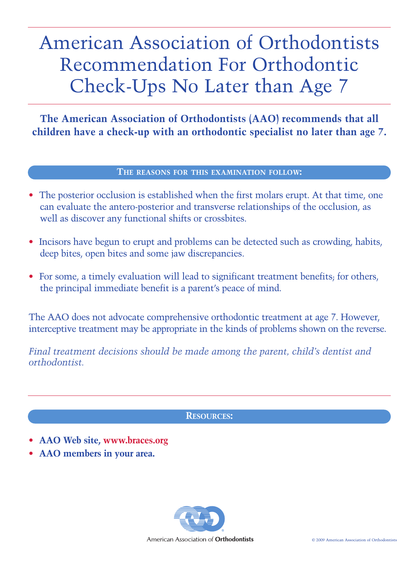## American Association of Orthodontists Recommendation For Orthodontic Check-Ups No Later than Age 7

**The American Association of Orthodontists (AAO) recommends that all children have a check-up with an orthodontic specialist no later than age 7.**

## **THE REASONS FOR THIS EXAMINATION FOLLOW:**

- The posterior occlusion is established when the first molars erupt. At that time, one can evaluate the antero-posterior and transverse relationships of the occlusion, as well as discover any functional shifts or crossbites.
- Incisors have begun to erupt and problems can be detected such as crowding, habits, deep bites, open bites and some jaw discrepancies.
- For some, a timely evaluation will lead to significant treatment benefits; for others, the principal immediate benefit is a parent's peace of mind.

The AAO does not advocate comprehensive orthodontic treatment at age 7. However, interceptive treatment may be appropriate in the kinds of problems shown on the reverse.

*Final treatment decisions should be made among the parent, child's dentist and orthodontist.*

## **RESOURCES:**

- **AAO Web site, www.braces.org**
- **AAO members in your area.**